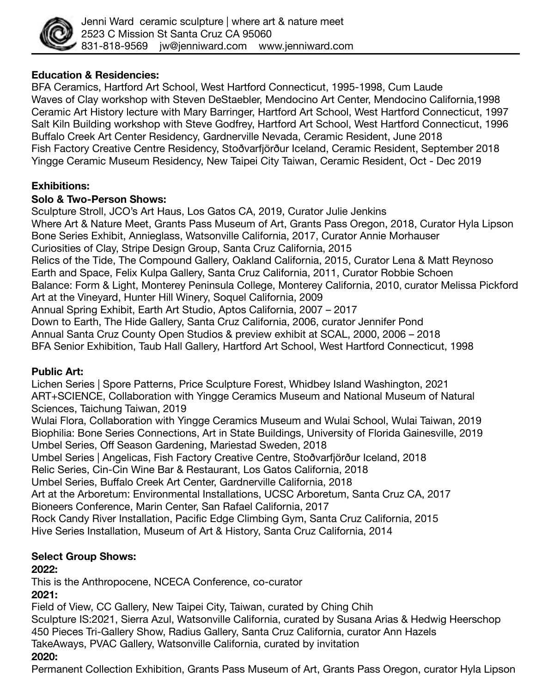

## **Education & Residencies:**

BFA Ceramics, Hartford Art School, West Hartford Connecticut, 1995-1998, Cum Laude Waves of Clay workshop with Steven DeStaebler, Mendocino Art Center, Mendocino California,1998 Ceramic Art History lecture with Mary Barringer, Hartford Art School, West Hartford Connecticut, 1997 Salt Kiln Building workshop with Steve Godfrey, Hartford Art School, West Hartford Connecticut, 1996 Buffalo Creek Art Center Residency, Gardnerville Nevada, Ceramic Resident, June 2018 Fish Factory Creative Centre Residency, Stoðvarfjörður Iceland, Ceramic Resident, September 2018 Yingge Ceramic Museum Residency, New Taipei City Taiwan, Ceramic Resident, Oct - Dec 2019

## **Exhibitions:**

#### **Solo & Two-Person Shows:**

Sculpture Stroll, JCO's Art Haus, Los Gatos CA, 2019, Curator Julie Jenkins Where Art & Nature Meet, Grants Pass Museum of Art, Grants Pass Oregon, 2018, Curator Hyla Lipson Bone Series Exhibit, Annieglass, Watsonville California, 2017, Curator Annie Morhauser Curiosities of Clay, Stripe Design Group, Santa Cruz California, 2015 Relics of the Tide, The Compound Gallery, Oakland California, 2015, Curator Lena & Matt Reynoso Earth and Space, Felix Kulpa Gallery, Santa Cruz California, 2011, Curator Robbie Schoen Balance: Form & Light, Monterey Peninsula College, Monterey California, 2010, curator Melissa Pickford Art at the Vineyard, Hunter Hill Winery, Soquel California, 2009 Annual Spring Exhibit, Earth Art Studio, Aptos California, 2007 – 2017 Down to Earth, The Hide Gallery, Santa Cruz California, 2006, curator Jennifer Pond Annual Santa Cruz County Open Studios & preview exhibit at SCAL, 2000, 2006 – 2018 BFA Senior Exhibition, Taub Hall Gallery, Hartford Art School, West Hartford Connecticut, 1998

## **Public Art:**

Lichen Series | Spore Patterns, Price Sculpture Forest, Whidbey Island Washington, 2021 ART+SCIENCE, Collaboration with Yingge Ceramics Museum and National Museum of Natural Sciences, Taichung Taiwan, 2019

Wulai Flora, Collaboration with Yingge Ceramics Museum and Wulai School, Wulai Taiwan, 2019 Biophilia: Bone Series Connections, Art in State Buildings, University of Florida Gainesville, 2019 Umbel Series, Off Season Gardening, Mariestad Sweden, 2018

Umbel Series | Angelicas, Fish Factory Creative Centre, Stoðvarfjörður Iceland, 2018

Relic Series, Cin-Cin Wine Bar & Restaurant, Los Gatos California, 2018

Umbel Series, Buffalo Creek Art Center, Gardnerville California, 2018

Art at the Arboretum: Environmental Installations, UCSC Arboretum, Santa Cruz CA, 2017 Bioneers Conference, Marin Center, San Rafael California, 2017

Rock Candy River Installation, Pacific Edge Climbing Gym, Santa Cruz California, 2015 Hive Series Installation, Museum of Art & History, Santa Cruz California, 2014

## **Select Group Shows:**

## **2022:**

This is the Anthropocene, NCECA Conference, co-curator **2021:** 

Field of View, CC Gallery, New Taipei City, Taiwan, curated by Ching Chih Sculpture IS:2021, Sierra Azul, Watsonville California, curated by Susana Arias & Hedwig Heerschop 450 Pieces Tri-Gallery Show, Radius Gallery, Santa Cruz California, curator Ann Hazels TakeAways, PVAC Gallery, Watsonville California, curated by invitation **2020:** 

Permanent Collection Exhibition, Grants Pass Museum of Art, Grants Pass Oregon, curator Hyla Lipson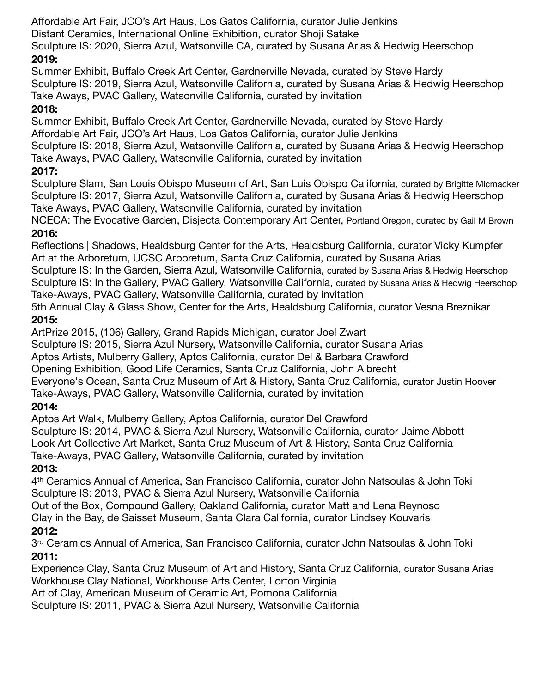Affordable Art Fair, JCO's Art Haus, Los Gatos California, curator Julie Jenkins Distant Ceramics, International Online Exhibition, curator Shoji Satake Sculpture IS: 2020, Sierra Azul, Watsonville CA, curated by Susana Arias & Hedwig Heerschop **2019:** 

## Summer Exhibit, Buffalo Creek Art Center, Gardnerville Nevada, curated by Steve Hardy Sculpture IS: 2019, Sierra Azul, Watsonville California, curated by Susana Arias & Hedwig Heerschop Take Aways, PVAC Gallery, Watsonville California, curated by invitation

# **2018:**

Summer Exhibit, Buffalo Creek Art Center, Gardnerville Nevada, curated by Steve Hardy Affordable Art Fair, JCO's Art Haus, Los Gatos California, curator Julie Jenkins Sculpture IS: 2018, Sierra Azul, Watsonville California, curated by Susana Arias & Hedwig Heerschop Take Aways, PVAC Gallery, Watsonville California, curated by invitation

# **2017:**

Sculpture Slam, San Louis Obispo Museum of Art, San Luis Obispo California, curated by Brigitte Micmacker Sculpture IS: 2017, Sierra Azul, Watsonville California, curated by Susana Arias & Hedwig Heerschop Take Aways, PVAC Gallery, Watsonville California, curated by invitation

NCECA: The Evocative Garden, Disjecta Contemporary Art Center, Portland Oregon, curated by Gail M Brown **2016:** 

Reflections | Shadows, Healdsburg Center for the Arts, Healdsburg California, curator Vicky Kumpfer Art at the Arboretum, UCSC Arboretum, Santa Cruz California, curated by Susana Arias

Sculpture IS: In the Garden, Sierra Azul, Watsonville California, curated by Susana Arias & Hedwig Heerschop Sculpture IS: In the Gallery, PVAC Gallery, Watsonville California, curated by Susana Arias & Hedwig Heerschop Take-Aways, PVAC Gallery, Watsonville California, curated by invitation

5th Annual Clay & Glass Show, Center for the Arts, Healdsburg California, curator Vesna Breznikar **2015:** 

ArtPrize 2015, (106) Gallery, Grand Rapids Michigan, curator Joel Zwart

Sculpture IS: 2015, Sierra Azul Nursery, Watsonville California, curator Susana Arias

Aptos Artists, Mulberry Gallery, Aptos California, curator Del & Barbara Crawford

Opening Exhibition, Good Life Ceramics, Santa Cruz California, John Albrecht

Everyone's Ocean, Santa Cruz Museum of Art & History, Santa Cruz California, curator Justin Hoover Take-Aways, PVAC Gallery, Watsonville California, curated by invitation

# **2014:**

Aptos Art Walk, Mulberry Gallery, Aptos California, curator Del Crawford Sculpture IS: 2014, PVAC & Sierra Azul Nursery, Watsonville California, curator Jaime Abbott Look Art Collective Art Market, Santa Cruz Museum of Art & History, Santa Cruz California Take-Aways, PVAC Gallery, Watsonville California, curated by invitation

# **2013:**

4th Ceramics Annual of America, San Francisco California, curator John Natsoulas & John Toki Sculpture IS: 2013, PVAC & Sierra Azul Nursery, Watsonville California

Out of the Box, Compound Gallery, Oakland California, curator Matt and Lena Reynoso Clay in the Bay, de Saisset Museum, Santa Clara California, curator Lindsey Kouvaris

# **2012:**

3rd Ceramics Annual of America, San Francisco California, curator John Natsoulas & John Toki **2011:** 

Experience Clay, Santa Cruz Museum of Art and History, Santa Cruz California, curator Susana Arias Workhouse Clay National, Workhouse Arts Center, Lorton Virginia

Art of Clay, American Museum of Ceramic Art, Pomona California

Sculpture IS: 2011, PVAC & Sierra Azul Nursery, Watsonville California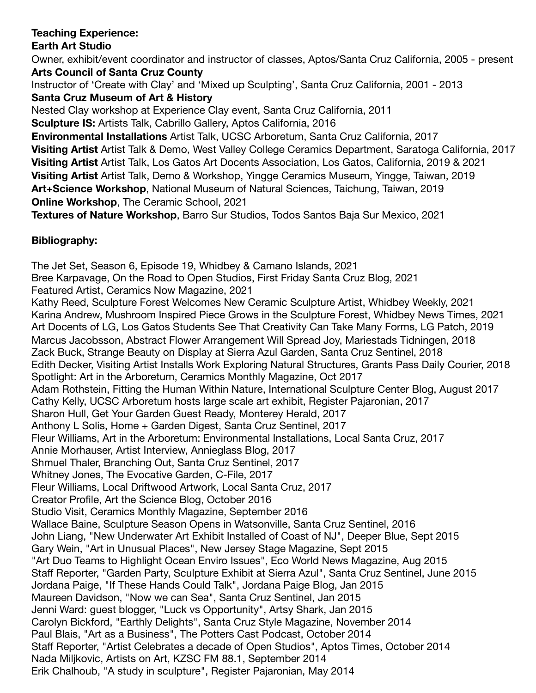# **Teaching Experience:**

## **Earth Art Studio**

Owner, exhibit/event coordinator and instructor of classes, Aptos/Santa Cruz California, 2005 - present **Arts Council of Santa Cruz County**  Instructor of 'Create with Clay' and 'Mixed up Sculpting', Santa Cruz California, 2001 - 2013 **Santa Cruz Museum of Art & History**  Nested Clay workshop at Experience Clay event, Santa Cruz California, 2011 **Sculpture IS:** Artists Talk, Cabrillo Gallery, Aptos California, 2016 **Environmental Installations** Artist Talk, UCSC Arboretum, Santa Cruz California, 2017 **Visiting Artist** Artist Talk & Demo, West Valley College Ceramics Department, Saratoga California, 2017 **Visiting Artist** Artist Talk, Los Gatos Art Docents Association, Los Gatos, California, 2019 & 2021 **Visiting Artist** Artist Talk, Demo & Workshop, Yingge Ceramics Museum, Yingge, Taiwan, 2019 **Art+Science Workshop**, National Museum of Natural Sciences, Taichung, Taiwan, 2019 **Online Workshop**, The Ceramic School, 2021

**Textures of Nature Workshop**, Barro Sur Studios, Todos Santos Baja Sur Mexico, 2021

# **Bibliography:**

The Jet Set, Season 6, Episode 19, Whidbey & Camano Islands, 2021 Bree Karpavage, On the Road to Open Studios, First Friday Santa Cruz Blog, 2021 Featured Artist, Ceramics Now Magazine, 2021 Kathy Reed, Sculpture Forest Welcomes New Ceramic Sculpture Artist, Whidbey Weekly, 2021 Karina Andrew, Mushroom Inspired Piece Grows in the Sculpture Forest, Whidbey News Times, 2021 Art Docents of LG, Los Gatos Students See That Creativity Can Take Many Forms, LG Patch, 2019 Marcus Jacobsson, Abstract Flower Arrangement Will Spread Joy, Mariestads Tidningen, 2018 Zack Buck, Strange Beauty on Display at Sierra Azul Garden, Santa Cruz Sentinel, 2018 Edith Decker, Visiting Artist Installs Work Exploring Natural Structures, Grants Pass Daily Courier, 2018 Spotlight: Art in the Arboretum, Ceramics Monthly Magazine, Oct 2017 Adam Rothstein, Fitting the Human Within Nature, International Sculpture Center Blog, August 2017 Cathy Kelly, UCSC Arboretum hosts large scale art exhibit, Register Pajaronian, 2017 Sharon Hull, Get Your Garden Guest Ready, Monterey Herald, 2017 Anthony L Solis, Home + Garden Digest, Santa Cruz Sentinel, 2017 Fleur Williams, Art in the Arboretum: Environmental Installations, Local Santa Cruz, 2017 Annie Morhauser, Artist Interview, Annieglass Blog, 2017 Shmuel Thaler, Branching Out, Santa Cruz Sentinel, 2017 Whitney Jones, The Evocative Garden, C-File, 2017 Fleur Williams, Local Driftwood Artwork, Local Santa Cruz, 2017 Creator Profile, Art the Science Blog, October 2016 Studio Visit, Ceramics Monthly Magazine, September 2016 Wallace Baine, Sculpture Season Opens in Watsonville, Santa Cruz Sentinel, 2016 John Liang, "New Underwater Art Exhibit Installed of Coast of NJ", Deeper Blue, Sept 2015 Gary Wein, "Art in Unusual Places", New Jersey Stage Magazine, Sept 2015 "Art Duo Teams to Highlight Ocean Enviro Issues", Eco World News Magazine, Aug 2015 Staff Reporter, "Garden Party, Sculpture Exhibit at Sierra Azul", Santa Cruz Sentinel, June 2015 Jordana Paige, "If These Hands Could Talk", Jordana Paige Blog, Jan 2015 Maureen Davidson, "Now we can Sea", Santa Cruz Sentinel, Jan 2015 Jenni Ward: guest blogger, "Luck vs Opportunity", Artsy Shark, Jan 2015 Carolyn Bickford, "Earthly Delights", Santa Cruz Style Magazine, November 2014 Paul Blais, "Art as a Business", The Potters Cast Podcast, October 2014 Staff Reporter, "Artist Celebrates a decade of Open Studios", Aptos Times, October 2014 Nada Miljkovic, Artists on Art, KZSC FM 88.1, September 2014 Erik Chalhoub, "A study in sculpture", Register Pajaronian, May 2014